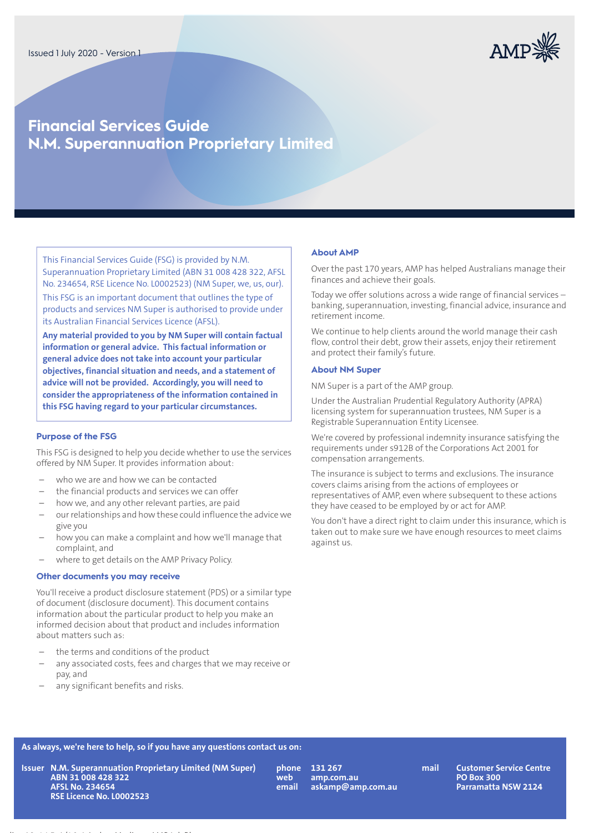

# **Financial Services Guide N.M. Superannuation Proprietary Limited**

This Financial Services Guide (FSG) is provided by N.M. Superannuation Proprietary Limited (ABN 31 008 428 322, AFSL No. 234654, RSE Licence No. L0002523) (NM Super, we, us, our). This FSG is an important document that outlines the type of products and services NM Super is authorised to provide under its Australian Financial Services Licence (AFSL).

**Any material provided to you by NM Super will contain factual information or general advice. This factual information or general advice does not take into account your particular objectives, financial situation and needs, and a statement of advice will not be provided. Accordingly, you will need to consider the appropriateness of the information contained in this FSG having regard to your particular circumstances.**

## **Purpose of the FSG**

This FSG is designed to help you decide whether to use the services offered by NM Super. It provides information about:

- who we are and how we can be contacted
- the financial products and services we can offer
- how we, and any other relevant parties, are paid
- ourrelationships and how these could influence the advice we give you
- how you can make a complaint and how we'll manage that complaint, and
- where to get details on the AMP Privacy Policy.

## **Other documents you may receive**

You'll receive a product disclosure statement (PDS) or a similar type of document (disclosure document). This document contains information about the particular product to help you make an informed decision about that product and includes information about matters such as:

- the terms and conditions of the product
- any associated costs, fees and charges that we may receive or pay, and
- any significant benefits and risks.

Heading L2, 14.5pt/16pt Archer Medium, AMP Ink Blue

#### **About AMP**

Over the past 170 years, AMP has helped Australians manage their finances and achieve their goals.

Today we offer solutions across a wide range of financial services – banking, superannuation, investing, financial advice, insurance and retirement income.

We continue to help clients around the world manage their cash flow, control their debt, grow their assets, enjoy their retirement and protect their family's future.

## **About NM Super**

NM Super is a part of the AMP group.

Under the Australian Prudential Regulatory Authority (APRA) licensing system for superannuation trustees, NM Super is a Registrable Superannuation Entity Licensee.

We're covered by professional indemnity insurance satisfying the requirements under s912B of the Corporations Act 2001 for compensation arrangements.

The insurance is subject to terms and exclusions. The insurance covers claims arising from the actions of employees or representatives of AMP, even where subsequent to these actions they have ceased to be employed by or act for AMP.

You don't have a direct right to claim under this insurance, which is taken out to make sure we have enough resources to meet claims against us.

# **As always, we're here to help, so if you have any questions contact us on:**

**N.M. Superannuation Proprietary Limited (NM Super) IssuerABN 31 008 428 322 AFSL No. 234654 RSE Licence No. L0002523**

**131 267 mail amp.com.au askamp@amp.com.au phone web email**

**Customer Service Centre PO Box 300 Parramatta NSW 2124**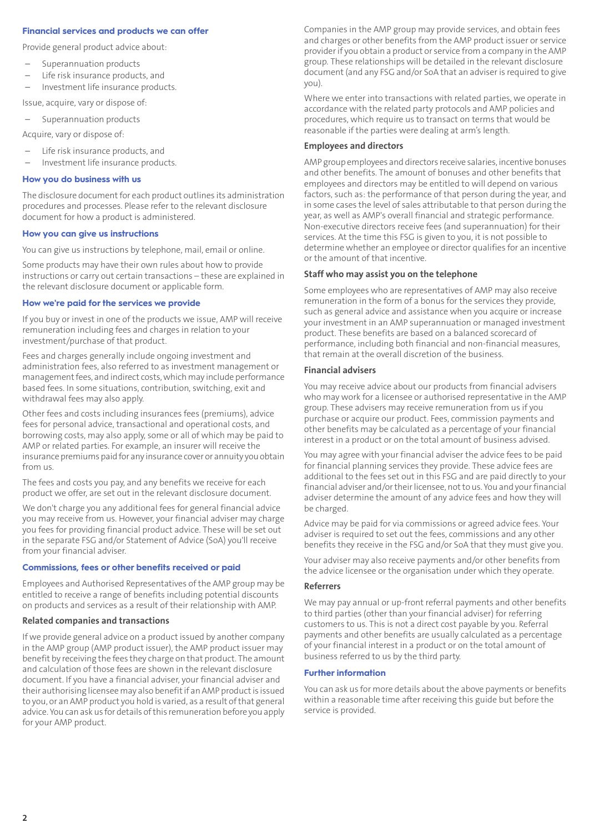# **Financial services and products we can offer**

Provide general product advice about:

- Superannuation products
- Life risk insurance products, and
- Investment life insurance products.

Issue, acquire, vary or dispose of:

– Superannuation products

Acquire, vary or dispose of:

- Life risk insurance products, and
- Investment life insurance products.

#### **How you do business with us**

The disclosure document for each product outlines its administration procedures and processes. Please refer to the relevant disclosure document for how a product is administered.

#### **How you can give us instructions**

You can give us instructions by telephone, mail, email or online.

Some products may have their own rules about how to provide instructions or carry out certain transactions – these are explained in the relevant disclosure document or applicable form.

#### **How we're paid for the services we provide**

If you buy or invest in one of the products we issue, AMP will receive remuneration including fees and charges in relation to your investment/purchase of that product.

Fees and charges generally include ongoing investment and administration fees, also referred to as investment management or management fees, and indirect costs, which may include performance based fees. In some situations, contribution, switching, exit and withdrawal fees may also apply.

Other fees and costs including insurances fees (premiums), advice fees for personal advice, transactional and operational costs, and borrowing costs, may also apply, some or all of which may be paid to AMP or related parties. For example, an insurer will receive the insurance premiums paid for any insurance cover or annuity you obtain from us.

The fees and costs you pay, and any benefits we receive for each product we offer, are set out in the relevant disclosure document.

We don't charge you any additional fees for general financial advice you may receive from us. However, your financial adviser may charge you fees for providing financial product advice. These will be set out in the separate FSG and/or Statement of Advice (SoA) you'll receive from your financial adviser.

## **Commissions, fees or other benefits received or paid**

Employees and Authorised Representatives of the AMP group may be entitled to receive a range of benefits including potential discounts on products and services as a result of their relationship with AMP.

#### **Related companies and transactions**

If we provide general advice on a product issued by another company in the AMP group (AMP product issuer), the AMP product issuer may benefit by receiving the fees they charge on that product. The amount and calculation of those fees are shown in the relevant disclosure document. If you have a financial adviser, your financial adviser and their authorising licensee may also benefitif anAMP productis issued to you, or an AMP product you hold is varied, as a result ofthat general advice. You can ask us for details of this remuneration before you apply for your AMP product.

Companies in the AMP group may provide services, and obtain fees and charges or other benefits from the AMP product issuer or service provider if you obtain a product or service from a company in the AMP group. These relationships will be detailed in the relevant disclosure document (and any FSG and/or SoA that an adviser is required to give you).

Where we enter into transactions with related parties, we operate in accordance with the related party protocols and AMP policies and procedures, which require us to transact on terms that would be reasonable if the parties were dealing at arm's length.

#### **Employees and directors**

AMP group employees and directors receive salaries, incentive bonuses and other benefits. The amount of bonuses and other benefits that employees and directors may be entitled to will depend on various factors, such as: the performance of that person during the year, and in some cases the level of sales attributable to that person during the year, as well as AMP's overall financial and strategic performance. Non-executive directors receive fees (and superannuation) for their services. At the time this FSG is given to you, it is not possible to determine whether an employee or director qualifies for an incentive or the amount of that incentive.

#### **Staff who may assist you on the telephone**

Some employees who are representatives of AMP may also receive remuneration in the form of a bonus for the services they provide, such as general advice and assistance when you acquire or increase your investment in an AMP superannuation or managed investment product. These benefits are based on a balanced scorecard of performance, including both financial and non-financial measures, that remain at the overall discretion of the business.

#### **Financial advisers**

You may receive advice about our products from financial advisers who may work for a licensee or authorised representative in the AMP group. These advisers may receive remuneration from us if you purchase or acquire our product. Fees, commission payments and other benefits may be calculated as a percentage of your financial interest in a product or on the total amount of business advised.

You may agree with your financial adviser the advice fees to be paid for financial planning services they provide. These advice fees are additional to the fees set out in this FSG and are paid directly to your financial adviser and/or their licensee, not to us. You and your financial adviser determine the amount of any advice fees and how they will be charged.

Advice may be paid for via commissions or agreed advice fees. Your adviser is required to set out the fees, commissions and any other benefits they receive in the FSG and/or SoA that they must give you.

Your adviser may also receive payments and/or other benefits from the advice licensee or the organisation under which they operate.

#### **Referrers**

We may pay annual or up-front referral payments and other benefits to third parties (other than your financial adviser) for referring customers to us. This is not a direct cost payable by you. Referral payments and other benefits are usually calculated as a percentage of your financial interest in a product or on the total amount of business referred to us by the third party.

#### **Further information**

You can ask us for more details about the above payments or benefits within a reasonable time after receiving this guide but before the service is provided.